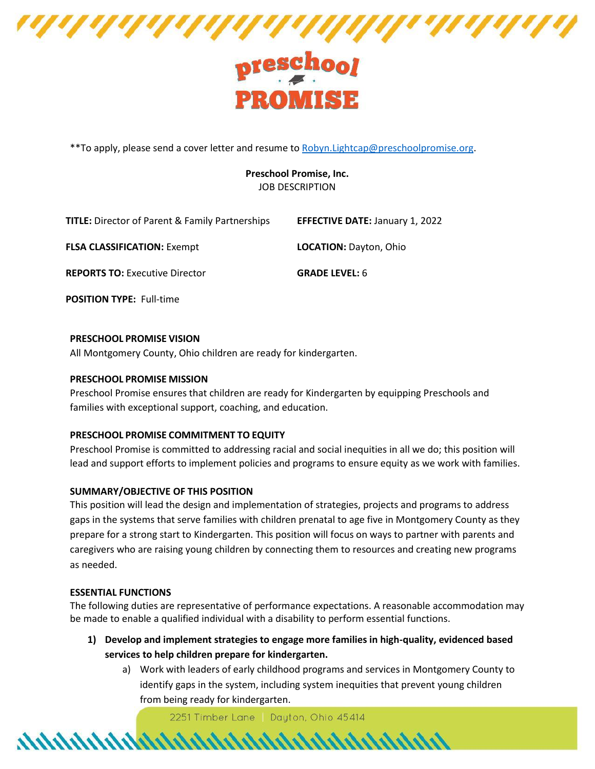

# PROMISE

\*\*To apply, please send a cover letter and resume to **Robyn.Lightcap@preschoolpromise.org**.

# **Preschool Promise, Inc.** JOB DESCRIPTION

| <b>TITLE:</b> Director of Parent & Family Partnerships | <b>EFFECTIVE DATE: January 1, 2022</b> |
|--------------------------------------------------------|----------------------------------------|
| <b>FLSA CLASSIFICATION: Exempt</b>                     | <b>LOCATION: Dayton, Ohio</b>          |
| <b>REPORTS TO: Executive Director</b>                  | <b>GRADE LEVEL: 6</b>                  |

**POSITION TYPE:** Full-time

## **PRESCHOOL PROMISE VISION**

All Montgomery County, Ohio children are ready for kindergarten.

## **PRESCHOOL PROMISE MISSION**

Preschool Promise ensures that children are ready for Kindergarten by equipping Preschools and families with exceptional support, coaching, and education.

## **PRESCHOOL PROMISE COMMITMENT TO EQUITY**

Preschool Promise is committed to addressing racial and social inequities in all we do; this position will lead and support efforts to implement policies and programs to ensure equity as we work with families.

## **SUMMARY/OBJECTIVE OF THIS POSITION**

This position will lead the design and implementation of strategies, projects and programs to address gaps in the systems that serve families with children prenatal to age five in Montgomery County as they prepare for a strong start to Kindergarten. This position will focus on ways to partner with parents and caregivers who are raising young children by connecting them to resources and creating new programs as needed.

## **ESSENTIAL FUNCTIONS**

The following duties are representative of performance expectations. A reasonable accommodation may be made to enable a qualified individual with a disability to perform essential functions.

- **1) Develop and implement strategies to engage more families in high-quality, evidenced based services to help children prepare for kindergarten.**
	- a) Work with leaders of early childhood programs and services in Montgomery County to identify gaps in the system, including system inequities that prevent young children from being ready for kindergarten.

2251 Timber Lane | Dayton, Ohio 45414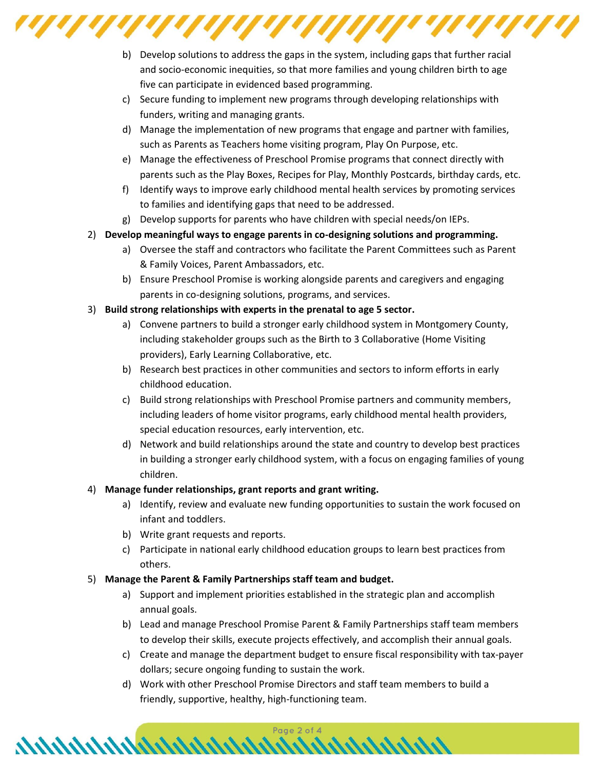

- b) Develop solutions to address the gaps in the system, including gaps that further racial and socio-economic inequities, so that more families and young children birth to age five can participate in evidenced based programming.
- c) Secure funding to implement new programs through developing relationships with funders, writing and managing grants.
- d) Manage the implementation of new programs that engage and partner with families, such as Parents as Teachers home visiting program, Play On Purpose, etc.
- e) Manage the effectiveness of Preschool Promise programs that connect directly with parents such as the Play Boxes, Recipes for Play, Monthly Postcards, birthday cards, etc.
- f) Identify ways to improve early childhood mental health services by promoting services to families and identifying gaps that need to be addressed.
- g) Develop supports for parents who have children with special needs/on IEPs.
- 2) **Develop meaningful ways to engage parents in co-designing solutions and programming.**
	- a) Oversee the staff and contractors who facilitate the Parent Committees such as Parent & Family Voices, Parent Ambassadors, etc.
	- b) Ensure Preschool Promise is working alongside parents and caregivers and engaging parents in co-designing solutions, programs, and services.
- 3) **Build strong relationships with experts in the prenatal to age 5 sector.**
	- a) Convene partners to build a stronger early childhood system in Montgomery County, including stakeholder groups such as the Birth to 3 Collaborative (Home Visiting providers), Early Learning Collaborative, etc.
	- b) Research best practices in other communities and sectors to inform efforts in early childhood education.
	- c) Build strong relationships with Preschool Promise partners and community members, including leaders of home visitor programs, early childhood mental health providers, special education resources, early intervention, etc.
	- d) Network and build relationships around the state and country to develop best practices in building a stronger early childhood system, with a focus on engaging families of young children.

# 4) **Manage funder relationships, grant reports and grant writing.**

- a) Identify, review and evaluate new funding opportunities to sustain the work focused on infant and toddlers.
- b) Write grant requests and reports.
- c) Participate in national early childhood education groups to learn best practices from others.
- 5) **Manage the Parent & Family Partnerships staff team and budget.**

- a) Support and implement priorities established in the strategic plan and accomplish annual goals.
- b) Lead and manage Preschool Promise Parent & Family Partnerships staff team members to develop their skills, execute projects effectively, and accomplish their annual goals.
- c) Create and manage the department budget to ensure fiscal responsibility with tax-payer dollars; secure ongoing funding to sustain the work.
- d) Work with other Preschool Promise Directors and staff team members to build a friendly, supportive, healthy, high-functioning team.

Page 2 of 4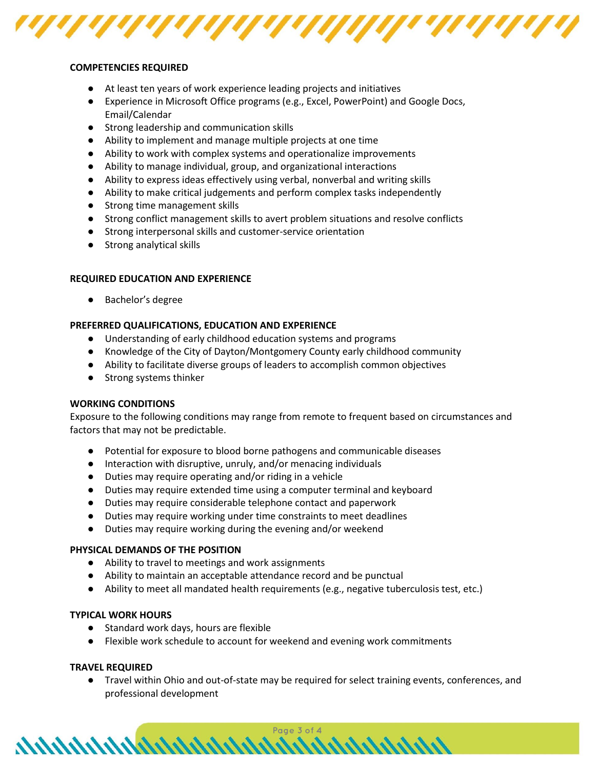

#### **COMPETENCIES REQUIRED**

- At least ten years of work experience leading projects and initiatives
- Experience in Microsoft Office programs (e.g., Excel, PowerPoint) and Google Docs, Email/Calendar
- Strong leadership and communication skills
- Ability to implement and manage multiple projects at one time
- Ability to work with complex systems and operationalize improvements
- Ability to manage individual, group, and organizational interactions
- Ability to express ideas effectively using verbal, nonverbal and writing skills
- Ability to make critical judgements and perform complex tasks independently
- Strong time management skills
- Strong conflict management skills to avert problem situations and resolve conflicts
- Strong interpersonal skills and customer-service orientation
- Strong analytical skills

#### **REQUIRED EDUCATION AND EXPERIENCE**

● Bachelor's degree

## **PREFERRED QUALIFICATIONS, EDUCATION AND EXPERIENCE**

- Understanding of early childhood education systems and programs
- Knowledge of the City of Dayton/Montgomery County early childhood community
- Ability to facilitate diverse groups of leaders to accomplish common objectives
- Strong systems thinker

#### **WORKING CONDITIONS**

Exposure to the following conditions may range from remote to frequent based on circumstances and factors that may not be predictable.

- Potential for exposure to blood borne pathogens and communicable diseases
- Interaction with disruptive, unruly, and/or menacing individuals
- Duties may require operating and/or riding in a vehicle
- Duties may require extended time using a computer terminal and keyboard
- Duties may require considerable telephone contact and paperwork
- Duties may require working under time constraints to meet deadlines
- Duties may require working during the evening and/or weekend

hhhhhhhhhhhhhhhhhhhhhhhhhhhhhh.

#### **PHYSICAL DEMANDS OF THE POSITION**

- Ability to travel to meetings and work assignments
- Ability to maintain an acceptable attendance record and be punctual
- Ability to meet all mandated health requirements (e.g., negative tuberculosis test, etc.)

#### **TYPICAL WORK HOURS**

- Standard work days, hours are flexible
- Flexible work schedule to account for weekend and evening work commitments

#### **TRAVEL REQUIRED**

● Travel within Ohio and out-of-state may be required for select training events, conferences, and professional development

Page 3 of 4